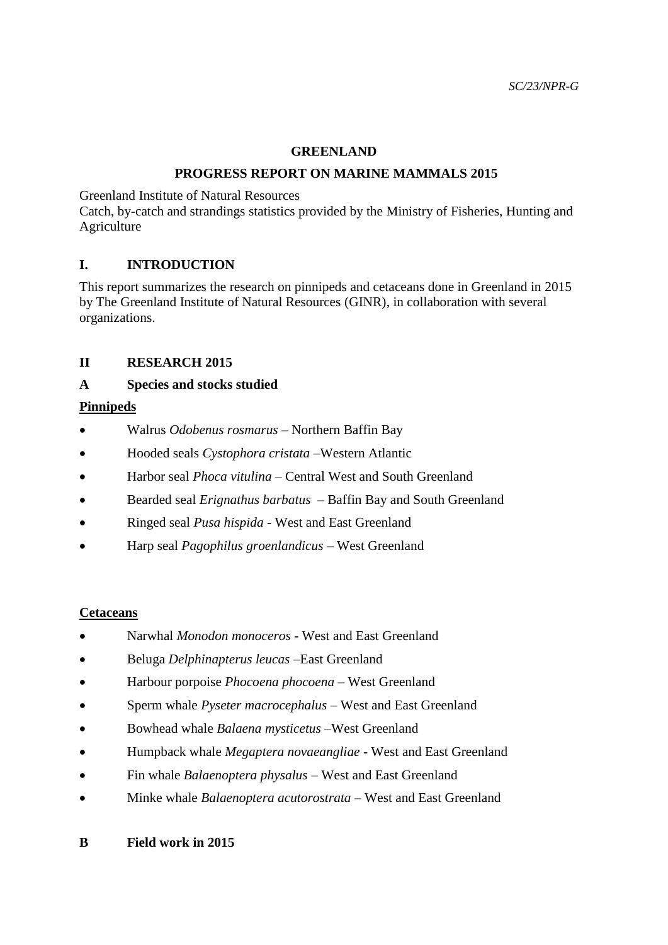### **GREENLAND**

#### **PROGRESS REPORT ON MARINE MAMMALS 2015**

Greenland Institute of Natural Resources

Catch, by-catch and strandings statistics provided by the Ministry of Fisheries, Hunting and Agriculture

# **I. INTRODUCTION**

This report summarizes the research on pinnipeds and cetaceans done in Greenland in 2015 by The Greenland Institute of Natural Resources (GINR), in collaboration with several organizations.

# **II RESEARCH 2015**

### **A Species and stocks studied**

### **Pinnipeds**

- Walrus *Odobenus rosmarus –* Northern Baffin Bay
- Hooded seals *Cystophora cristata –*Western Atlantic
- Harbor seal *Phoca vitulina* Central West and South Greenland
- Bearded seal *Erignathus barbatus* Baffin Bay and South Greenland
- Ringed seal *Pusa hispida* West and East Greenland
- Harp seal *Pagophilus groenlandicus* West Greenland

#### **Cetaceans**

- Narwhal *Monodon monoceros* West and East Greenland
- Beluga *Delphinapterus leucas –*East Greenland
- Harbour porpoise *Phocoena phocoena* West Greenland
- Sperm whale *Pyseter macrocephalus* West and East Greenland
- Bowhead whale *Balaena mysticetus* –West Greenland
- Humpback whale *Megaptera novaeangliae* West and East Greenland
- Fin whale *Balaenoptera physalus*  West and East Greenland
- Minke whale *Balaenoptera acutorostrata* West and East Greenland

#### **B Field work in 2015**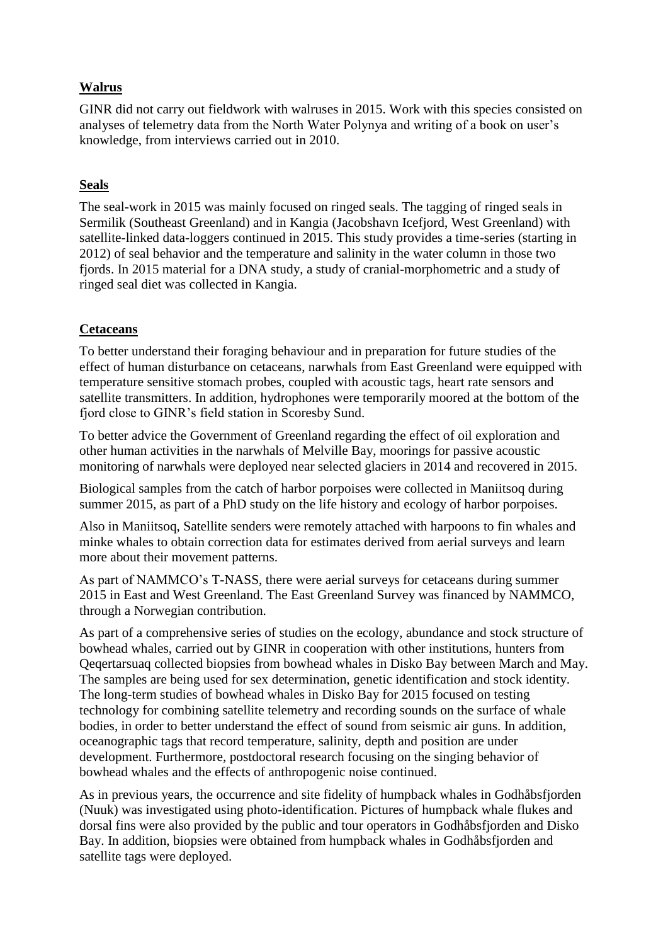# **Walrus**

GINR did not carry out fieldwork with walruses in 2015. Work with this species consisted on analyses of telemetry data from the North Water Polynya and writing of a book on user's knowledge, from interviews carried out in 2010.

# **Seals**

The seal-work in 2015 was mainly focused on ringed seals. The tagging of ringed seals in Sermilik (Southeast Greenland) and in Kangia (Jacobshavn Icefjord, West Greenland) with satellite-linked data-loggers continued in 2015. This study provides a time-series (starting in 2012) of seal behavior and the temperature and salinity in the water column in those two fjords. In 2015 material for a DNA study, a study of cranial-morphometric and a study of ringed seal diet was collected in Kangia.

# **Cetaceans**

To better understand their foraging behaviour and in preparation for future studies of the effect of human disturbance on cetaceans, narwhals from East Greenland were equipped with temperature sensitive stomach probes, coupled with acoustic tags, heart rate sensors and satellite transmitters. In addition, hydrophones were temporarily moored at the bottom of the fjord close to GINR's field station in Scoresby Sund.

To better advice the Government of Greenland regarding the effect of oil exploration and other human activities in the narwhals of Melville Bay, moorings for passive acoustic monitoring of narwhals were deployed near selected glaciers in 2014 and recovered in 2015.

Biological samples from the catch of harbor porpoises were collected in Maniitsoq during summer 2015, as part of a PhD study on the life history and ecology of harbor porpoises.

Also in Maniitsoq, Satellite senders were remotely attached with harpoons to fin whales and minke whales to obtain correction data for estimates derived from aerial surveys and learn more about their movement patterns.

As part of NAMMCO's T-NASS, there were aerial surveys for cetaceans during summer 2015 in East and West Greenland. The East Greenland Survey was financed by NAMMCO, through a Norwegian contribution.

As part of a comprehensive series of studies on the ecology, abundance and stock structure of bowhead whales, carried out by GINR in cooperation with other institutions, hunters from Qeqertarsuaq collected biopsies from bowhead whales in Disko Bay between March and May. The samples are being used for sex determination, genetic identification and stock identity. The long-term studies of bowhead whales in Disko Bay for 2015 focused on testing technology for combining satellite telemetry and recording sounds on the surface of whale bodies, in order to better understand the effect of sound from seismic air guns. In addition, oceanographic tags that record temperature, salinity, depth and position are under development. Furthermore, postdoctoral research focusing on the singing behavior of bowhead whales and the effects of anthropogenic noise continued.

As in previous years, the occurrence and site fidelity of humpback whales in Godhåbsfjorden (Nuuk) was investigated using photo-identification. Pictures of humpback whale flukes and dorsal fins were also provided by the public and tour operators in Godhåbsfjorden and Disko Bay. In addition, biopsies were obtained from humpback whales in Godhåbsfjorden and satellite tags were deployed.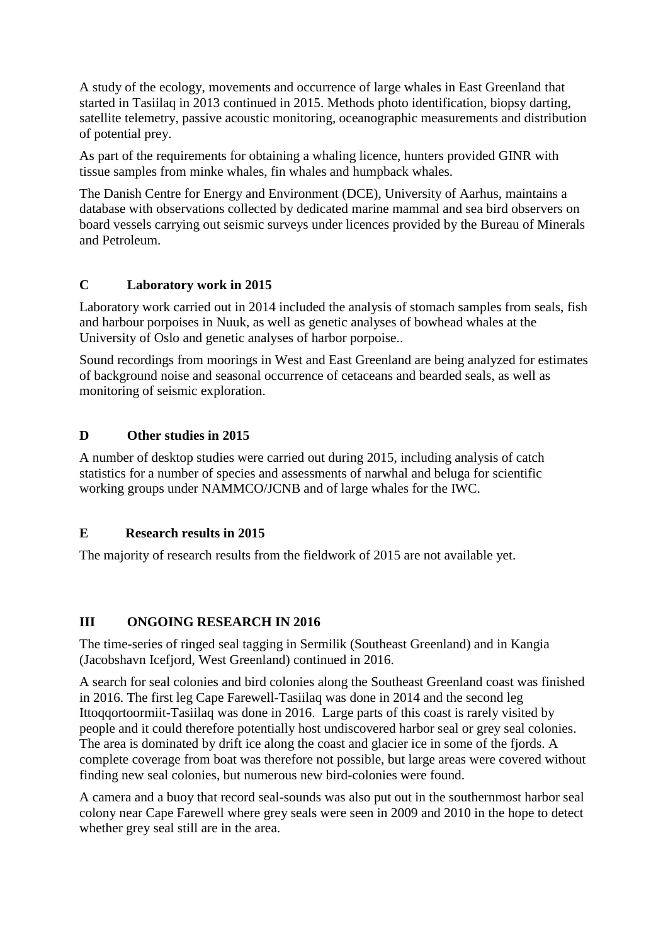A study of the ecology, movements and occurrence of large whales in East Greenland that started in Tasiilaq in 2013 continued in 2015. Methods photo identification, biopsy darting, satellite telemetry, passive acoustic monitoring, oceanographic measurements and distribution of potential prey.

As part of the requirements for obtaining a whaling licence, hunters provided GINR with tissue samples from minke whales, fin whales and humpback whales.

The Danish Centre for Energy and Environment (DCE), University of Aarhus, maintains a database with observations collected by dedicated marine mammal and sea bird observers on board vessels carrying out seismic surveys under licences provided by the Bureau of Minerals and Petroleum.

# **C Laboratory work in 2015**

Laboratory work carried out in 2014 included the analysis of stomach samples from seals, fish and harbour porpoises in Nuuk, as well as genetic analyses of bowhead whales at the University of Oslo and genetic analyses of harbor porpoise..

Sound recordings from moorings in West and East Greenland are being analyzed for estimates of background noise and seasonal occurrence of cetaceans and bearded seals, as well as monitoring of seismic exploration.

# **D Other studies in 2015**

A number of desktop studies were carried out during 2015, including analysis of catch statistics for a number of species and assessments of narwhal and beluga for scientific working groups under NAMMCO/JCNB and of large whales for the IWC.

# **E Research results in 2015**

The majority of research results from the fieldwork of 2015 are not available yet.

# **III ONGOING RESEARCH IN 2016**

The time-series of ringed seal tagging in Sermilik (Southeast Greenland) and in Kangia (Jacobshavn Icefjord, West Greenland) continued in 2016.

A search for seal colonies and bird colonies along the Southeast Greenland coast was finished in 2016. The first leg Cape Farewell-Tasiilaq was done in 2014 and the second leg Ittoqqortoormiit-Tasiilaq was done in 2016. Large parts of this coast is rarely visited by people and it could therefore potentially host undiscovered harbor seal or grey seal colonies. The area is dominated by drift ice along the coast and glacier ice in some of the fjords. A complete coverage from boat was therefore not possible, but large areas were covered without finding new seal colonies, but numerous new bird-colonies were found.

A camera and a buoy that record seal-sounds was also put out in the southernmost harbor seal colony near Cape Farewell where grey seals were seen in 2009 and 2010 in the hope to detect whether grey seal still are in the area.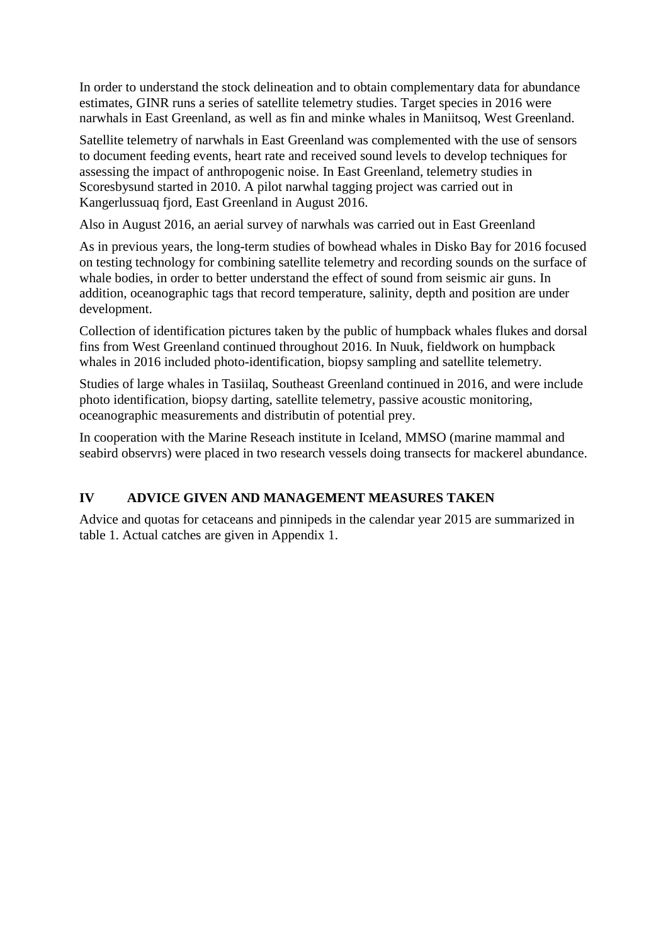In order to understand the stock delineation and to obtain complementary data for abundance estimates, GINR runs a series of satellite telemetry studies. Target species in 2016 were narwhals in East Greenland, as well as fin and minke whales in Maniitsoq, West Greenland.

Satellite telemetry of narwhals in East Greenland was complemented with the use of sensors to document feeding events, heart rate and received sound levels to develop techniques for assessing the impact of anthropogenic noise. In East Greenland, telemetry studies in Scoresbysund started in 2010. A pilot narwhal tagging project was carried out in Kangerlussuaq fjord, East Greenland in August 2016.

Also in August 2016, an aerial survey of narwhals was carried out in East Greenland

As in previous years, the long-term studies of bowhead whales in Disko Bay for 2016 focused on testing technology for combining satellite telemetry and recording sounds on the surface of whale bodies, in order to better understand the effect of sound from seismic air guns. In addition, oceanographic tags that record temperature, salinity, depth and position are under development.

Collection of identification pictures taken by the public of humpback whales flukes and dorsal fins from West Greenland continued throughout 2016. In Nuuk, fieldwork on humpback whales in 2016 included photo-identification, biopsy sampling and satellite telemetry.

Studies of large whales in Tasiilaq, Southeast Greenland continued in 2016, and were include photo identification, biopsy darting, satellite telemetry, passive acoustic monitoring, oceanographic measurements and distributin of potential prey.

In cooperation with the Marine Reseach institute in Iceland, MMSO (marine mammal and seabird observrs) were placed in two research vessels doing transects for mackerel abundance.

# **IV ADVICE GIVEN AND MANAGEMENT MEASURES TAKEN**

Advice and quotas for cetaceans and pinnipeds in the calendar year 2015 are summarized in table 1. Actual catches are given in Appendix 1.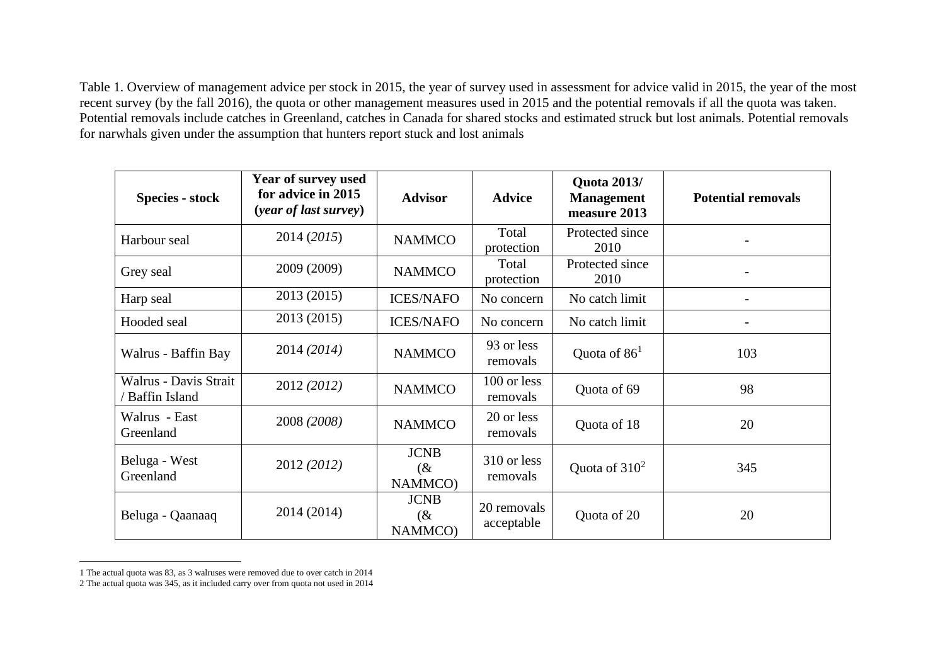Table 1. Overview of management advice per stock in 2015, the year of survey used in assessment for advice valid in 2015, the year of the most recent survey (by the fall 2016), the quota or other management measures used in 2015 and the potential removals if all the quota was taken. Potential removals include catches in Greenland, catches in Canada for shared stocks and estimated struck but lost animals. Potential removals for narwhals given under the assumption that hunters report stuck and lost animals

| <b>Species - stock</b>                        | <b>Year of survey used</b><br>for advice in 2015<br>(year of last survey) | <b>Advisor</b>                  | <b>Advice</b>             | <b>Quota 2013/</b><br><b>Management</b><br>measure 2013 | <b>Potential removals</b> |
|-----------------------------------------------|---------------------------------------------------------------------------|---------------------------------|---------------------------|---------------------------------------------------------|---------------------------|
| Harbour seal                                  | 2014 (2015)                                                               | <b>NAMMCO</b>                   | Total<br>protection       | Protected since<br>2010                                 |                           |
| Grey seal                                     | 2009 (2009)                                                               | <b>NAMMCO</b>                   | Total<br>protection       | Protected since<br>2010                                 |                           |
| Harp seal                                     | 2013 (2015)                                                               | <b>ICES/NAFO</b>                | No concern                | No catch limit                                          |                           |
| Hooded seal                                   | 2013 (2015)                                                               | <b>ICES/NAFO</b>                | No concern                | No catch limit                                          |                           |
| Walrus - Baffin Bay                           | 2014 (2014)                                                               | <b>NAMMCO</b>                   | 93 or less<br>removals    | Quota of $861$                                          | 103                       |
| Walrus - Davis Strait<br><b>Baffin Island</b> | 2012 (2012)                                                               | <b>NAMMCO</b>                   | 100 or less<br>removals   | Quota of 69                                             | 98                        |
| Walrus - East<br>Greenland                    | 2008 (2008)                                                               | <b>NAMMCO</b>                   | 20 or less<br>removals    | Quota of 18                                             | 20                        |
| Beluga - West<br>Greenland                    | 2012 (2012)                                                               | <b>JCNB</b><br>$(\&$<br>NAMMCO) | 310 or less<br>removals   | Quota of $310^2$                                        | 345                       |
| Beluga - Qaanaaq                              | 2014 (2014)                                                               | <b>JCNB</b><br>$(\&$<br>NAMMCO) | 20 removals<br>acceptable | Quota of 20                                             | 20                        |

<sup>1</sup> The actual quota was 83, as 3 walruses were removed due to over catch in 2014

 $\overline{a}$ 

<sup>2</sup> The actual quota was 345, as it included carry over from quota not used in 2014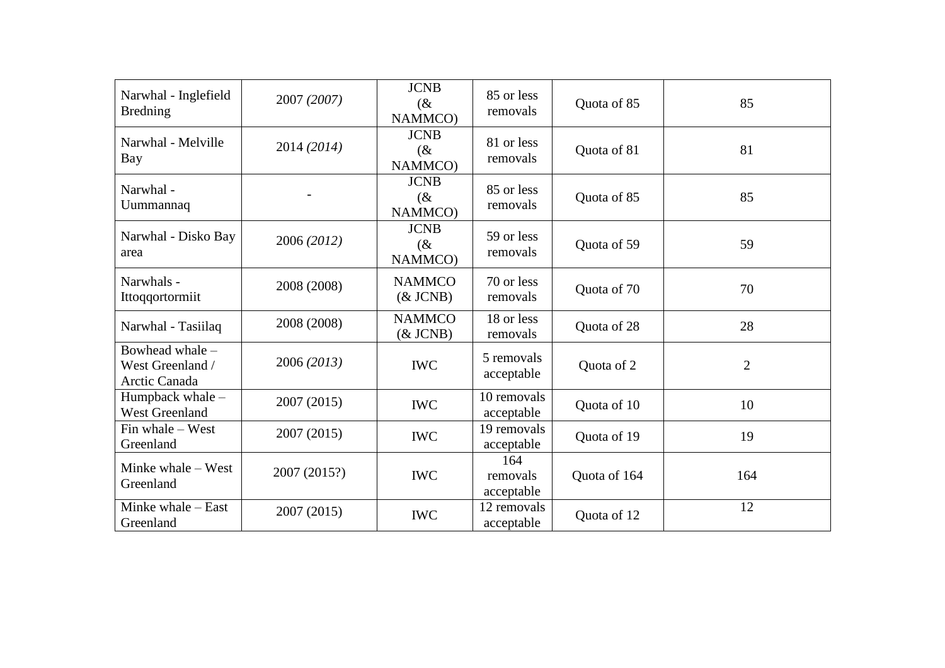| Narwhal - Inglefield<br><b>Bredning</b>              | 2007 (2007)  | <b>JCNB</b><br>(x)<br>NAMMCO)   | 85 or less<br>removals        | Quota of 85  | 85             |
|------------------------------------------------------|--------------|---------------------------------|-------------------------------|--------------|----------------|
| Narwhal - Melville<br>Bay                            | 2014 (2014)  | <b>JCNB</b><br>$(\&$<br>NAMMCO) | 81 or less<br>removals        | Quota of 81  | 81             |
| Narwhal -<br>Uummannaq                               |              | <b>JCNB</b><br>(x)<br>NAMMCO)   | 85 or less<br>removals        | Quota of 85  | 85             |
| Narwhal - Disko Bay<br>area                          | 2006 (2012)  | <b>JCNB</b><br>(x)<br>NAMMCO)   | 59 or less<br>removals        | Quota of 59  | 59             |
| Narwhals -<br>Ittoqqortormiit                        | 2008 (2008)  | <b>NAMMCO</b><br>$&$ JCNB)      | 70 or less<br>removals        | Quota of 70  | 70             |
| Narwhal - Tasiilaq                                   | 2008 (2008)  | <b>NAMMCO</b><br>$&$ JCNB)      | 18 or less<br>removals        | Quota of 28  | 28             |
| Bowhead whale -<br>West Greenland /<br>Arctic Canada | 2006 (2013)  | <b>IWC</b>                      | 5 removals<br>acceptable      | Quota of 2   | $\overline{2}$ |
| Humpback whale -<br><b>West Greenland</b>            | 2007 (2015)  | <b>IWC</b>                      | 10 removals<br>acceptable     | Quota of 10  | 10             |
| Fin whale - West<br>Greenland                        | 2007 (2015)  | <b>IWC</b>                      | 19 removals<br>acceptable     | Quota of 19  | 19             |
| Minke whale – West<br>Greenland                      | 2007 (2015?) | <b>IWC</b>                      | 164<br>removals<br>acceptable | Quota of 164 | 164            |
| Minke whale – East<br>Greenland                      | 2007 (2015)  | <b>IWC</b>                      | 12 removals<br>acceptable     | Quota of 12  | 12             |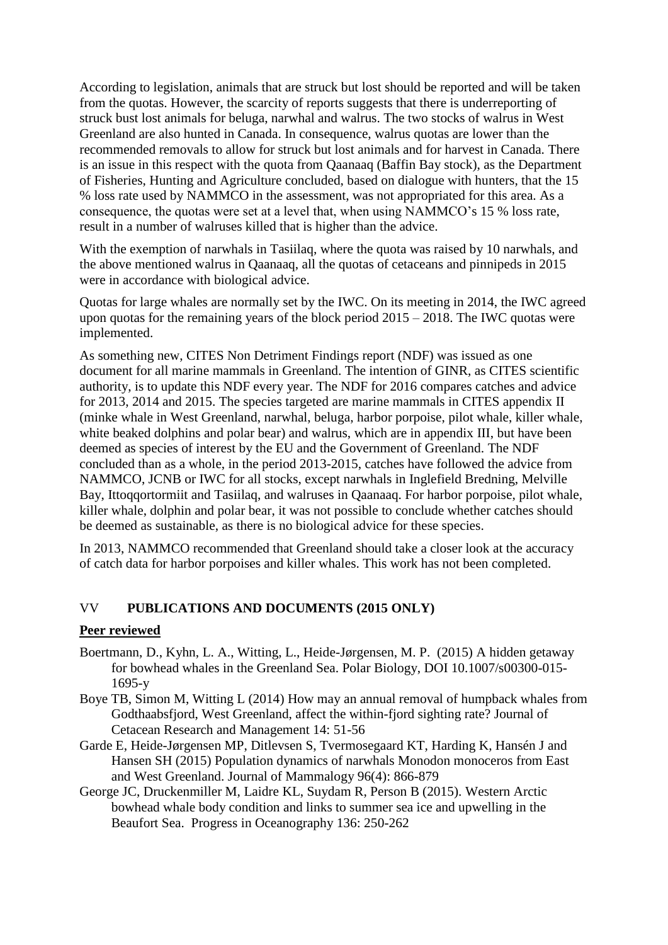According to legislation, animals that are struck but lost should be reported and will be taken from the quotas. However, the scarcity of reports suggests that there is underreporting of struck bust lost animals for beluga, narwhal and walrus. The two stocks of walrus in West Greenland are also hunted in Canada. In consequence, walrus quotas are lower than the recommended removals to allow for struck but lost animals and for harvest in Canada. There is an issue in this respect with the quota from Qaanaaq (Baffin Bay stock), as the Department of Fisheries, Hunting and Agriculture concluded, based on dialogue with hunters, that the 15 % loss rate used by NAMMCO in the assessment, was not appropriated for this area. As a consequence, the quotas were set at a level that, when using NAMMCO's 15 % loss rate, result in a number of walruses killed that is higher than the advice.

With the exemption of narwhals in Tasiilaq, where the quota was raised by 10 narwhals, and the above mentioned walrus in Qaanaaq, all the quotas of cetaceans and pinnipeds in 2015 were in accordance with biological advice.

Quotas for large whales are normally set by the IWC. On its meeting in 2014, the IWC agreed upon quotas for the remaining years of the block period 2015 – 2018. The IWC quotas were implemented.

As something new, CITES Non Detriment Findings report (NDF) was issued as one document for all marine mammals in Greenland. The intention of GINR, as CITES scientific authority, is to update this NDF every year. The NDF for 2016 compares catches and advice for 2013, 2014 and 2015. The species targeted are marine mammals in CITES appendix II (minke whale in West Greenland, narwhal, beluga, harbor porpoise, pilot whale, killer whale, white beaked dolphins and polar bear) and walrus, which are in appendix III, but have been deemed as species of interest by the EU and the Government of Greenland. The NDF concluded than as a whole, in the period 2013-2015, catches have followed the advice from NAMMCO, JCNB or IWC for all stocks, except narwhals in Inglefield Bredning, Melville Bay, Ittoqqortormiit and Tasiilaq, and walruses in Qaanaaq. For harbor porpoise, pilot whale, killer whale, dolphin and polar bear, it was not possible to conclude whether catches should be deemed as sustainable, as there is no biological advice for these species.

In 2013, NAMMCO recommended that Greenland should take a closer look at the accuracy of catch data for harbor porpoises and killer whales. This work has not been completed.

# VV **PUBLICATIONS AND DOCUMENTS (2015 ONLY)**

#### **Peer reviewed**

- Boertmann, D., Kyhn, L. A., Witting, L., Heide-Jørgensen, M. P. (2015) A hidden getaway for bowhead whales in the Greenland Sea. Polar Biology, DOI 10.1007/s00300-015- 1695-y
- Boye TB, Simon M, Witting L (2014) How may an annual removal of humpback whales from Godthaabsfjord, West Greenland, affect the within-fjord sighting rate? Journal of Cetacean Research and Management 14: 51-56
- Garde E, Heide-Jørgensen MP, Ditlevsen S, Tvermosegaard KT, Harding K, Hansén J and Hansen SH (2015) Population dynamics of narwhals Monodon monoceros from East and West Greenland. Journal of Mammalogy 96(4): 866-879
- George JC, Druckenmiller M, Laidre KL, Suydam R, Person B (2015). Western Arctic bowhead whale body condition and links to summer sea ice and upwelling in the Beaufort Sea. Progress in Oceanography 136: 250-262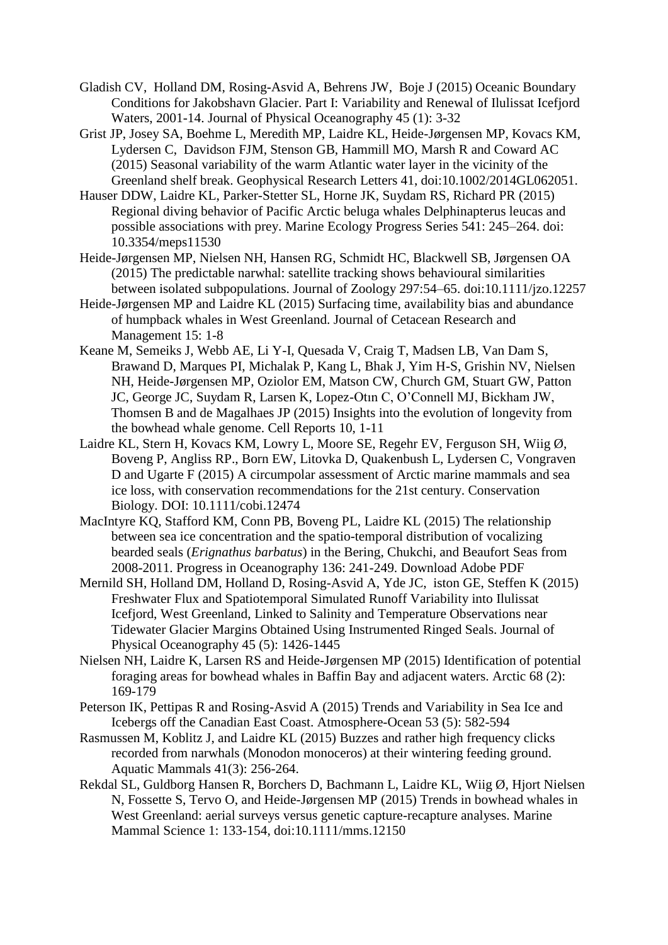- Gladish CV, Holland DM, Rosing-Asvid A, Behrens JW, Boje J (2015) Oceanic Boundary Conditions for Jakobshavn Glacier. Part I: Variability and Renewal of Ilulissat Icefjord Waters, 2001-14. Journal of Physical Oceanography 45 (1): 3-32
- Grist JP, Josey SA, Boehme L, Meredith MP, Laidre KL, Heide-Jørgensen MP, Kovacs KM, Lydersen C, Davidson FJM, Stenson GB, Hammill MO, Marsh R and Coward AC (2015) Seasonal variability of the warm Atlantic water layer in the vicinity of the Greenland shelf break. Geophysical Research Letters 41, doi:10.1002/2014GL062051.
- Hauser DDW, Laidre KL, Parker-Stetter SL, Horne JK, Suydam RS, Richard PR (2015) Regional diving behavior of Pacific Arctic beluga whales Delphinapterus leucas and possible associations with prey. Marine Ecology Progress Series 541: 245–264. doi: 10.3354/meps11530
- Heide-Jørgensen MP, Nielsen NH, Hansen RG, Schmidt HC, Blackwell SB, Jørgensen OA (2015) The predictable narwhal: satellite tracking shows behavioural similarities between isolated subpopulations. Journal of Zoology 297:54–65. doi:10.1111/jzo.12257
- Heide-Jørgensen MP and Laidre KL (2015) Surfacing time, availability bias and abundance of humpback whales in West Greenland. Journal of Cetacean Research and Management 15: 1-8
- Keane M, Semeiks J, Webb AE, Li Y-I, Quesada V, Craig T, Madsen LB, Van Dam S, Brawand D, Marques PI, Michalak P, Kang L, Bhak J, Yim H-S, Grishin NV, Nielsen NH, Heide-Jørgensen MP, Oziolor EM, Matson CW, Church GM, Stuart GW, Patton JC, George JC, Suydam R, Larsen K, Lopez-Otın C, O'Connell MJ, Bickham JW, Thomsen B and de Magalhaes JP (2015) Insights into the evolution of longevity from the bowhead whale genome. Cell Reports 10, 1-11
- Laidre KL, Stern H, Kovacs KM, Lowry L, Moore SE, Regehr EV, Ferguson SH, Wiig Ø, Boveng P, Angliss RP., Born EW, Litovka D, Quakenbush L, Lydersen C, Vongraven D and Ugarte F (2015) A circumpolar assessment of Arctic marine mammals and sea ice loss, with conservation recommendations for the 21st century. Conservation Biology. DOI: 10.1111/cobi.12474
- MacIntyre KQ, Stafford KM, Conn PB, Boveng PL, Laidre KL (2015) The relationship between sea ice concentration and the spatio-temporal distribution of vocalizing bearded seals (*Erignathus barbatus*) in the Bering, Chukchi, and Beaufort Seas from 2008-2011. Progress in Oceanography 136: 241-249. Download Adobe PDF
- Mernild SH, Holland DM, Holland D, Rosing-Asvid A, Yde JC, iston GE, Steffen K (2015) Freshwater Flux and Spatiotemporal Simulated Runoff Variability into Ilulissat Icefjord, West Greenland, Linked to Salinity and Temperature Observations near Tidewater Glacier Margins Obtained Using Instrumented Ringed Seals. Journal of Physical Oceanography 45 (5): 1426-1445
- Nielsen NH, Laidre K, Larsen RS and Heide-Jørgensen MP (2015) Identification of potential foraging areas for bowhead whales in Baffin Bay and adjacent waters. Arctic 68 (2): 169-179
- Peterson IK, Pettipas R and Rosing-Asvid A (2015) Trends and Variability in Sea Ice and Icebergs off the Canadian East Coast. Atmosphere-Ocean 53 (5): 582-594
- Rasmussen M, Koblitz J, and Laidre KL (2015) Buzzes and rather high frequency clicks recorded from narwhals (Monodon monoceros) at their wintering feeding ground. Aquatic Mammals 41(3): 256-264.
- Rekdal SL, Guldborg Hansen R, Borchers D, Bachmann L, Laidre KL, Wiig Ø, Hjort Nielsen N, Fossette S, Tervo O, and Heide-Jørgensen MP (2015) Trends in bowhead whales in West Greenland: aerial surveys versus genetic capture-recapture analyses. Marine Mammal Science 1: 133-154, doi:10.1111/mms.12150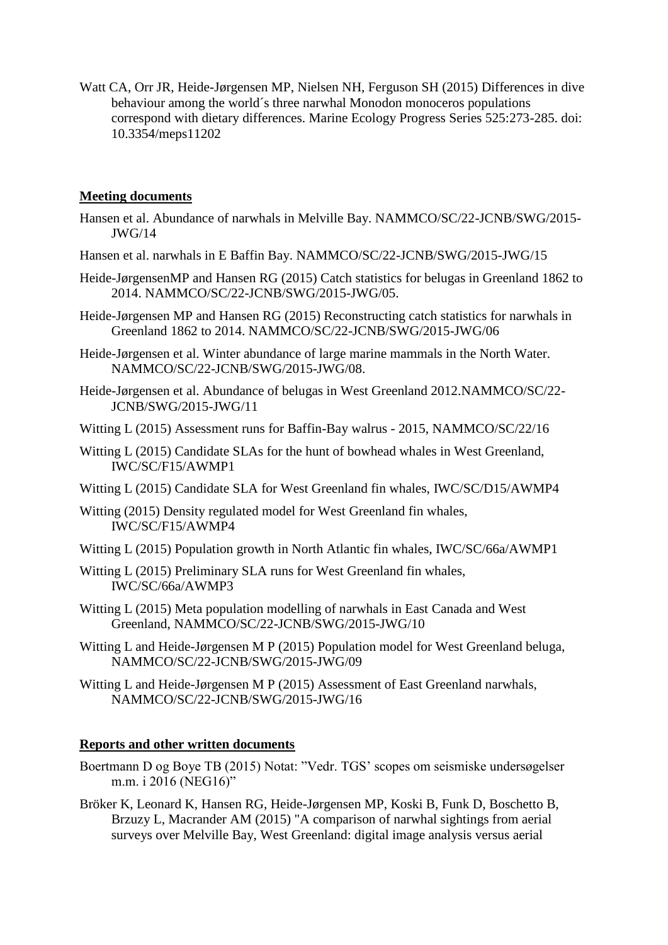Watt CA, Orr JR, Heide-Jørgensen MP, Nielsen NH, Ferguson SH (2015) Differences in dive behaviour among the world´s three narwhal Monodon monoceros populations correspond with dietary differences. Marine Ecology Progress Series 525:273-285. doi: 10.3354/meps11202

### **Meeting documents**

- Hansen et al. Abundance of narwhals in Melville Bay. NAMMCO/SC/22-JCNB/SWG/2015- JWG/14
- Hansen et al. narwhals in E Baffin Bay. NAMMCO/SC/22-JCNB/SWG/2015-JWG/15
- Heide-JørgensenMP and Hansen RG (2015) Catch statistics for belugas in Greenland 1862 to 2014. NAMMCO/SC/22-JCNB/SWG/2015-JWG/05.
- Heide-Jørgensen MP and Hansen RG (2015) Reconstructing catch statistics for narwhals in Greenland 1862 to 2014. NAMMCO/SC/22-JCNB/SWG/2015-JWG/06
- Heide-Jørgensen et al. Winter abundance of large marine mammals in the North Water. NAMMCO/SC/22-JCNB/SWG/2015-JWG/08.
- Heide-Jørgensen et al. Abundance of belugas in West Greenland 2012.NAMMCO/SC/22- JCNB/SWG/2015-JWG/11
- Witting L (2015) Assessment runs for Baffin-Bay walrus 2015, NAMMCO/SC/22/16
- Witting L (2015) Candidate SLAs for the hunt of bowhead whales in West Greenland, IWC/SC/F15/AWMP1
- Witting L (2015) Candidate SLA for West Greenland fin whales, IWC/SC/D15/AWMP4
- Witting (2015) Density regulated model for West Greenland fin whales, IWC/SC/F15/AWMP4
- Witting L (2015) Population growth in North Atlantic fin whales, IWC/SC/66a/AWMP1
- Witting L (2015) Preliminary SLA runs for West Greenland fin whales, IWC/SC/66a/AWMP3
- Witting L (2015) Meta population modelling of narwhals in East Canada and West Greenland, NAMMCO/SC/22-JCNB/SWG/2015-JWG/10
- Witting L and Heide-Jørgensen M P (2015) Population model for West Greenland beluga, NAMMCO/SC/22-JCNB/SWG/2015-JWG/09
- Witting L and Heide-Jørgensen M P (2015) Assessment of East Greenland narwhals, NAMMCO/SC/22-JCNB/SWG/2015-JWG/16

## **Reports and other written documents**

- Boertmann D og Boye TB (2015) Notat: "Vedr. TGS' scopes om seismiske undersøgelser m.m. i 2016 (NEG16)"
- Bröker K, Leonard K, Hansen RG, Heide-Jørgensen MP, Koski B, Funk D, Boschetto B, Brzuzy L, Macrander AM (2015) "A comparison of narwhal sightings from aerial surveys over Melville Bay, West Greenland: digital image analysis versus aerial